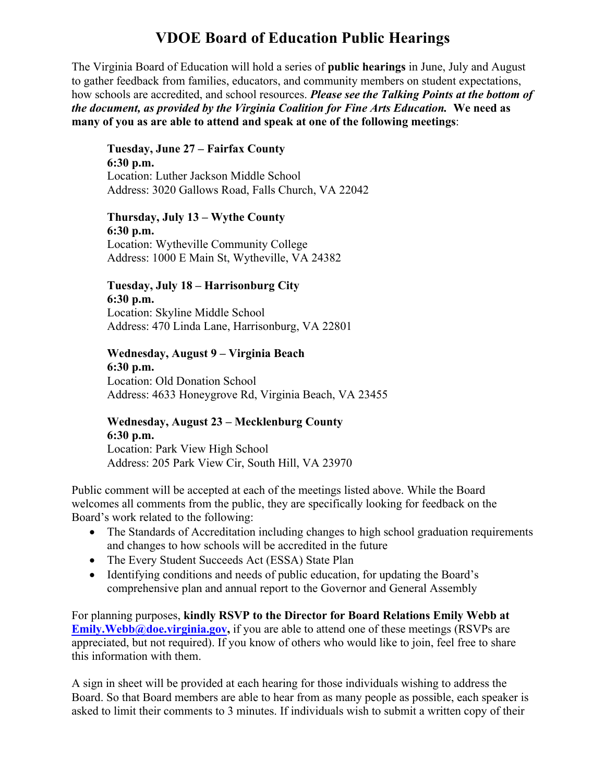# **VDOE Board of Education Public Hearings**

The Virginia Board of Education will hold a series of **public hearings** in June, July and August to gather feedback from families, educators, and community members on student expectations, how schools are accredited, and school resources. *Please see the Talking Points at the bottom of the document, as provided by the Virginia Coalition for Fine Arts Education.* **We need as many of you as are able to attend and speak at one of the following meetings**:

**Tuesday, June 27 – Fairfax County 6:30 p.m.**  Location: Luther Jackson Middle School Address: 3020 Gallows Road, Falls Church, VA 22042

**Thursday, July 13 – Wythe County 6:30 p.m.**  Location: Wytheville Community College Address: 1000 E Main St, Wytheville, VA 24382

# **Tuesday, July 18 – Harrisonburg City 6:30 p.m.**  Location: Skyline Middle School

Address: 470 Linda Lane, Harrisonburg, VA 22801

**Wednesday, August 9 – Virginia Beach 6:30 p.m.**  Location: Old Donation School Address: 4633 Honeygrove Rd, Virginia Beach, VA 23455

### **Wednesday, August 23 – Mecklenburg County 6:30 p.m.**

Location: Park View High School Address: 205 Park View Cir, South Hill, VA 23970

Public comment will be accepted at each of the meetings listed above. While the Board welcomes all comments from the public, they are specifically looking for feedback on the Board's work related to the following:

- The Standards of Accreditation including changes to high school graduation requirements and changes to how schools will be accredited in the future
- The Every Student Succeeds Act (ESSA) State Plan
- Identifying conditions and needs of public education, for updating the Board's comprehensive plan and annual report to the Governor and General Assembly

For planning purposes, **kindly RSVP to the Director for Board Relations Emily Webb at Emily.Webb@doe.virginia.gov,** if you are able to attend one of these meetings (RSVPs are appreciated, but not required). If you know of others who would like to join, feel free to share this information with them.

A sign in sheet will be provided at each hearing for those individuals wishing to address the Board. So that Board members are able to hear from as many people as possible, each speaker is asked to limit their comments to 3 minutes. If individuals wish to submit a written copy of their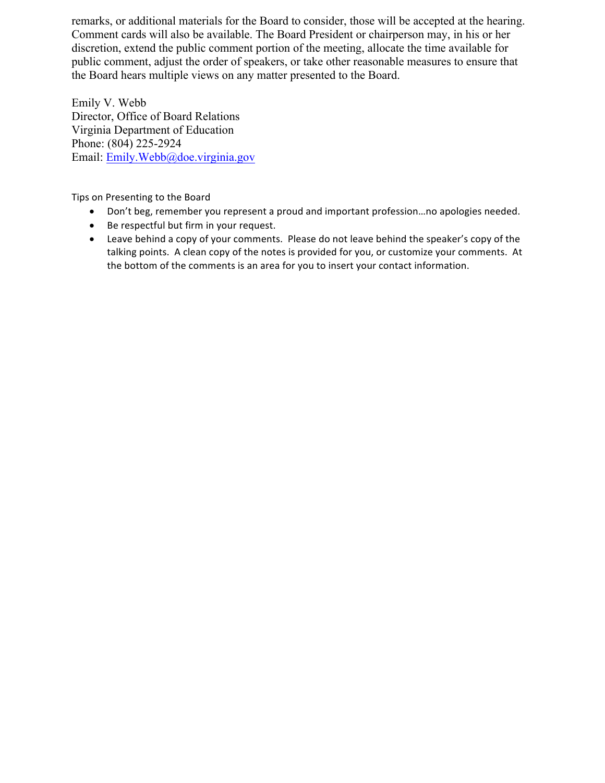remarks, or additional materials for the Board to consider, those will be accepted at the hearing. Comment cards will also be available. The Board President or chairperson may, in his or her discretion, extend the public comment portion of the meeting, allocate the time available for public comment, adjust the order of speakers, or take other reasonable measures to ensure that the Board hears multiple views on any matter presented to the Board.

Emily V. Webb Director, Office of Board Relations Virginia Department of Education Phone: (804) 225-2924 Email: Emily.Webb@doe.virginia.gov

Tips on Presenting to the Board

- Don't beg, remember you represent a proud and important profession...no apologies needed.
- Be respectful but firm in your request.
- Leave behind a copy of your comments. Please do not leave behind the speaker's copy of the talking points. A clean copy of the notes is provided for you, or customize your comments. At the bottom of the comments is an area for you to insert your contact information.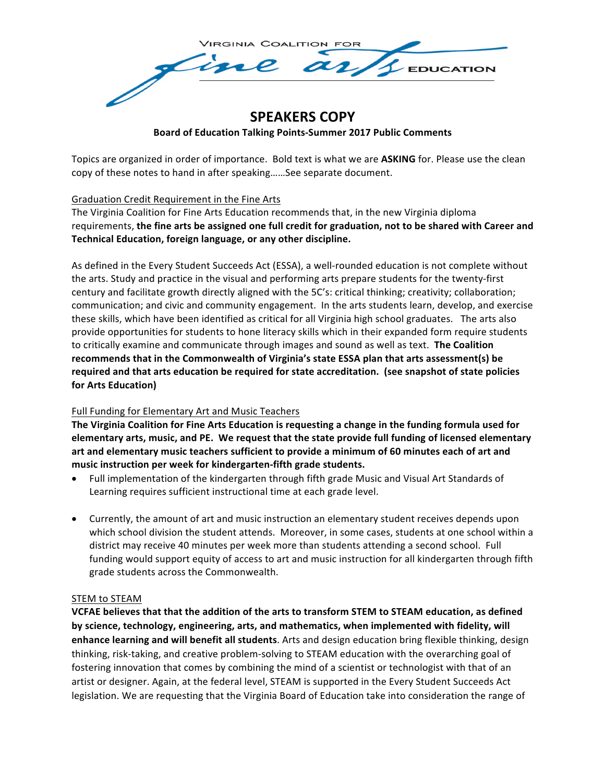

## **SPEAKERS COPY Board of Education Talking Points-Summer 2017 Public Comments**

Topics are organized in order of importance. Bold text is what we are **ASKING** for. Please use the clean copy of these notes to hand in after speaking......See separate document.

Graduation Credit Requirement in the Fine Arts

The Virginia Coalition for Fine Arts Education recommends that, in the new Virginia diploma requirements, the fine arts be assigned one full credit for graduation, not to be shared with Career and Technical Education, foreign language, or any other discipline.

As defined in the Every Student Succeeds Act (ESSA), a well-rounded education is not complete without the arts. Study and practice in the visual and performing arts prepare students for the twenty-first century and facilitate growth directly aligned with the 5C's: critical thinking; creativity; collaboration; communication; and civic and community engagement. In the arts students learn, develop, and exercise these skills, which have been identified as critical for all Virginia high school graduates. The arts also provide opportunities for students to hone literacy skills which in their expanded form require students to critically examine and communicate through images and sound as well as text. The Coalition recommends that in the Commonwealth of Virginia's state ESSA plan that arts assessment(s) be required and that arts education be required for state accreditation. (see snapshot of state policies **for Arts Education)**

#### Full Funding for Elementary Art and Music Teachers

**The Virginia Coalition for Fine Arts Education is requesting a change in the funding formula used for elementary arts, music, and PE. We request that the state provide full funding of licensed elementary** art and elementary music teachers sufficient to provide a minimum of 60 minutes each of art and music instruction per week for kindergarten-fifth grade students.

- Full implementation of the kindergarten through fifth grade Music and Visual Art Standards of Learning requires sufficient instructional time at each grade level.
- Currently, the amount of art and music instruction an elementary student receives depends upon which school division the student attends. Moreover, in some cases, students at one school within a district may receive 40 minutes per week more than students attending a second school. Full funding would support equity of access to art and music instruction for all kindergarten through fifth grade students across the Commonwealth.

#### STEM to STEAM

**VCFAE believes that that the addition of the arts to transform STEM to STEAM education, as defined** by science, technology, engineering, arts, and mathematics, when implemented with fidelity, will **enhance learning and will benefit all students**. Arts and design education bring flexible thinking, design thinking, risk-taking, and creative problem-solving to STEAM education with the overarching goal of fostering innovation that comes by combining the mind of a scientist or technologist with that of an artist or designer. Again, at the federal level, STEAM is supported in the Every Student Succeeds Act legislation. We are requesting that the Virginia Board of Education take into consideration the range of